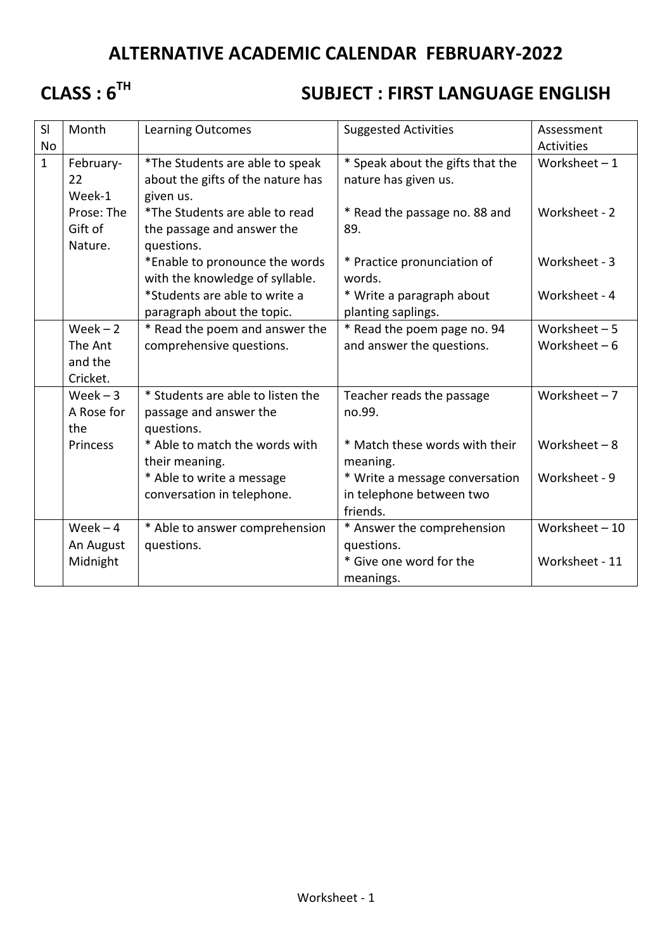## **ALTERNATIVE ACADEMIC CALENDAR FEBRUARY-2022**

## **CLASS : 6TH**

## **SUBJECT : FIRST LANGUAGE ENGLISH**

| SI           | Month      | <b>Learning Outcomes</b>          | <b>Suggested Activities</b>      | Assessment        |
|--------------|------------|-----------------------------------|----------------------------------|-------------------|
| <b>No</b>    |            |                                   |                                  | <b>Activities</b> |
| $\mathbf{1}$ | February-  | *The Students are able to speak   | * Speak about the gifts that the | Worksheet $-1$    |
|              | 22         | about the gifts of the nature has | nature has given us.             |                   |
|              | Week-1     | given us.                         |                                  |                   |
|              | Prose: The | *The Students are able to read    | * Read the passage no. 88 and    | Worksheet - 2     |
|              | Gift of    | the passage and answer the        | 89.                              |                   |
|              | Nature.    | questions.                        |                                  |                   |
|              |            | *Enable to pronounce the words    | * Practice pronunciation of      | Worksheet - 3     |
|              |            | with the knowledge of syllable.   | words.                           |                   |
|              |            | *Students are able to write a     | * Write a paragraph about        | Worksheet - 4     |
|              |            | paragraph about the topic.        | planting saplings.               |                   |
|              | $Week - 2$ | * Read the poem and answer the    | * Read the poem page no. 94      | Worksheet $-5$    |
|              | The Ant    | comprehensive questions.          | and answer the questions.        | Worksheet $-6$    |
|              | and the    |                                   |                                  |                   |
|              | Cricket.   |                                   |                                  |                   |
|              | $Week - 3$ | * Students are able to listen the | Teacher reads the passage        | Worksheet $-7$    |
|              | A Rose for | passage and answer the            | no.99.                           |                   |
|              | the        | questions.                        |                                  |                   |
|              | Princess   | * Able to match the words with    | * Match these words with their   | Worksheet $-8$    |
|              |            | their meaning.                    | meaning.                         |                   |
|              |            | * Able to write a message         | * Write a message conversation   | Worksheet - 9     |
|              |            | conversation in telephone.        | in telephone between two         |                   |
|              |            |                                   | friends.                         |                   |
|              | $Week - 4$ | * Able to answer comprehension    | * Answer the comprehension       | Worksheet $-10$   |
|              | An August  | questions.                        | questions.                       |                   |
|              | Midnight   |                                   | * Give one word for the          | Worksheet - 11    |
|              |            |                                   | meanings.                        |                   |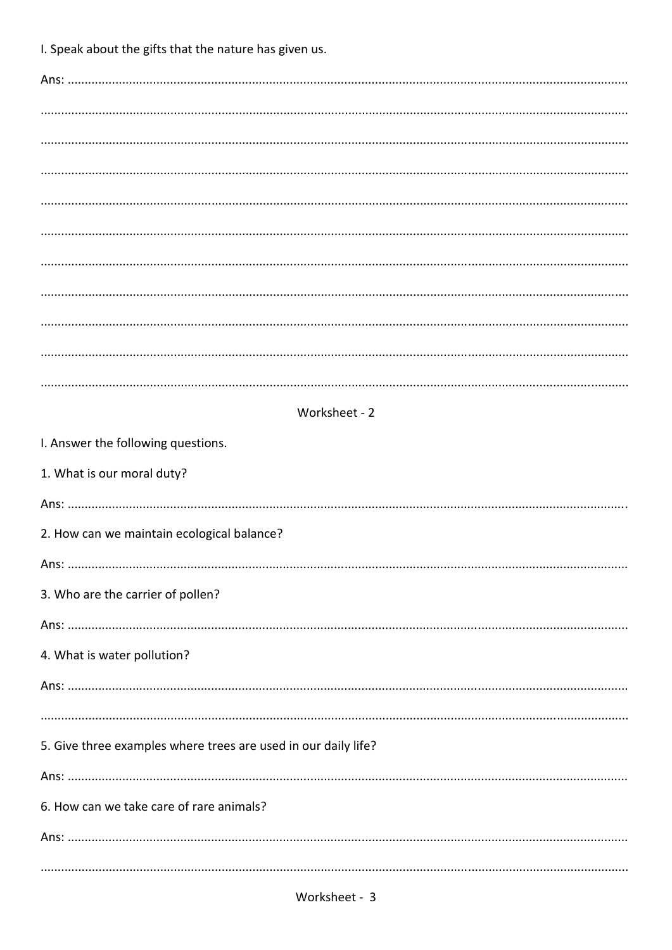I. Speak about the gifts that the nature has given us.

| Worksheet - 2                                                  |  |  |  |  |  |
|----------------------------------------------------------------|--|--|--|--|--|
| I. Answer the following questions.                             |  |  |  |  |  |
| 1. What is our moral duty?                                     |  |  |  |  |  |
|                                                                |  |  |  |  |  |
| 2. How can we maintain ecological balance?                     |  |  |  |  |  |
|                                                                |  |  |  |  |  |
| 3. Who are the carrier of pollen?                              |  |  |  |  |  |
|                                                                |  |  |  |  |  |
| 4. What is water pollution?                                    |  |  |  |  |  |
|                                                                |  |  |  |  |  |
|                                                                |  |  |  |  |  |
| 5. Give three examples where trees are used in our daily life? |  |  |  |  |  |
| 6. How can we take care of rare animals?                       |  |  |  |  |  |
|                                                                |  |  |  |  |  |
|                                                                |  |  |  |  |  |
|                                                                |  |  |  |  |  |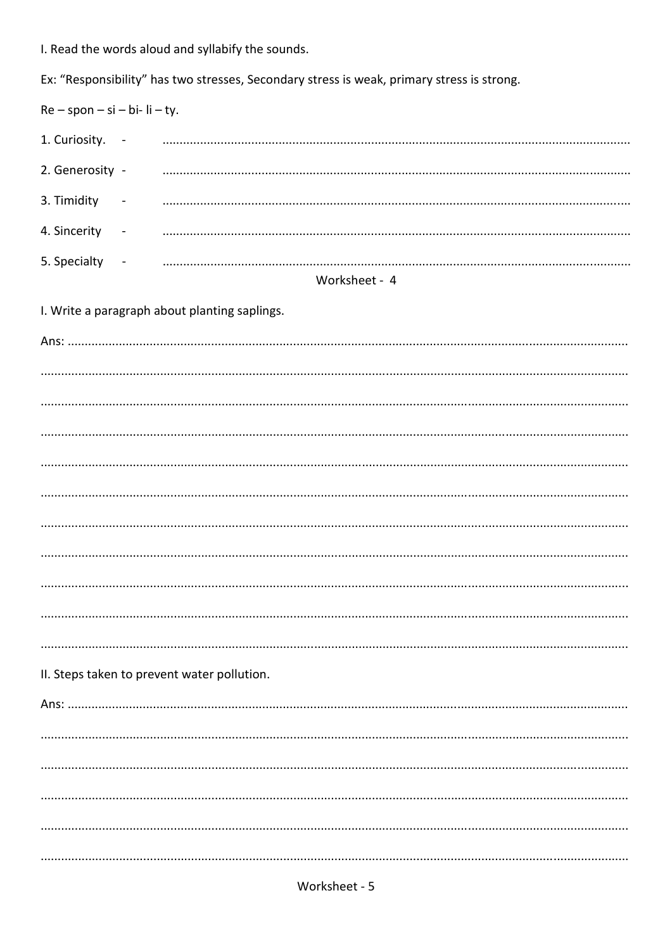I. Read the words aloud and syllabify the sounds.

Ex: "Responsibility" has two stresses, Secondary stress is weak, primary stress is strong.

| $Re - spon - si - bi - li - ty.$              |                |               |  |  |  |  |
|-----------------------------------------------|----------------|---------------|--|--|--|--|
| 1. Curiosity. -                               |                |               |  |  |  |  |
| 2. Generosity -                               |                |               |  |  |  |  |
| 3. Timidity                                   | $\blacksquare$ |               |  |  |  |  |
| 4. Sincerity -                                |                |               |  |  |  |  |
| 5. Specialty -                                |                |               |  |  |  |  |
|                                               |                | Worksheet - 4 |  |  |  |  |
| I. Write a paragraph about planting saplings. |                |               |  |  |  |  |
|                                               |                |               |  |  |  |  |
|                                               |                |               |  |  |  |  |
|                                               |                |               |  |  |  |  |
|                                               |                |               |  |  |  |  |
|                                               |                |               |  |  |  |  |
|                                               |                |               |  |  |  |  |
|                                               |                |               |  |  |  |  |
|                                               |                |               |  |  |  |  |
|                                               |                |               |  |  |  |  |
|                                               |                |               |  |  |  |  |
|                                               |                |               |  |  |  |  |
| II. Steps taken to prevent water pollution.   |                |               |  |  |  |  |
|                                               |                |               |  |  |  |  |
|                                               |                |               |  |  |  |  |
|                                               |                |               |  |  |  |  |
|                                               |                |               |  |  |  |  |
|                                               |                |               |  |  |  |  |
|                                               |                |               |  |  |  |  |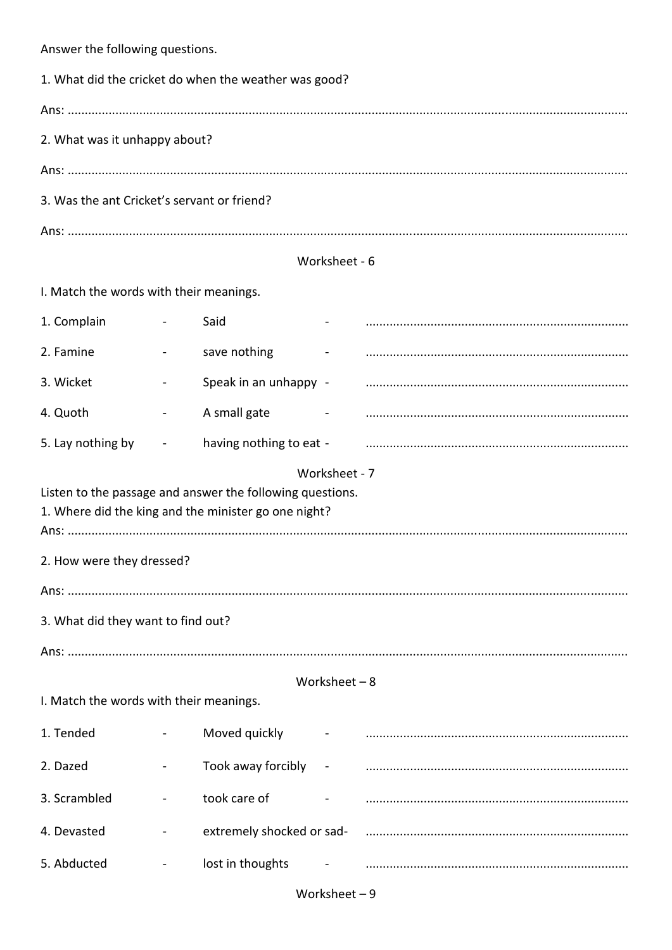Answer the following questions. 1. What did the cricket do when the weather was good? Ans and the second state of the second state of the second state of the second state of the second state of the 2. What was it unhappy about? 3. Was the ant Cricket's servant or friend? Worksheet - 6 I. Match the words with their meanings. 1. Complain Said  $\mathbf{r}$ 2. Famine save nothing  $\mathcal{L}^{\mathcal{L}}$ 3. Wicket Speak in an unhappy - $\mathbf{r}$ 4. Quoth A small gate  $\sim$  $\sim$ 5. Lay nothing by having nothing to eat - $\Box$ Worksheet - 7 Listen to the passage and answer the following questions. 1. Where did the king and the minister go one night? 2. How were they dressed? 3. What did they want to find out? Worksheet  $-8$ I. Match the words with their meanings. 1. Tended Moved quickly 2. Dazed Took away forcibly  $\blacksquare$  $\blacksquare$ 3. Scrambled took care of 4. Devasted extremely shocked or sad- $\mathbf{r}$ 5. Abducted lost in thoughts